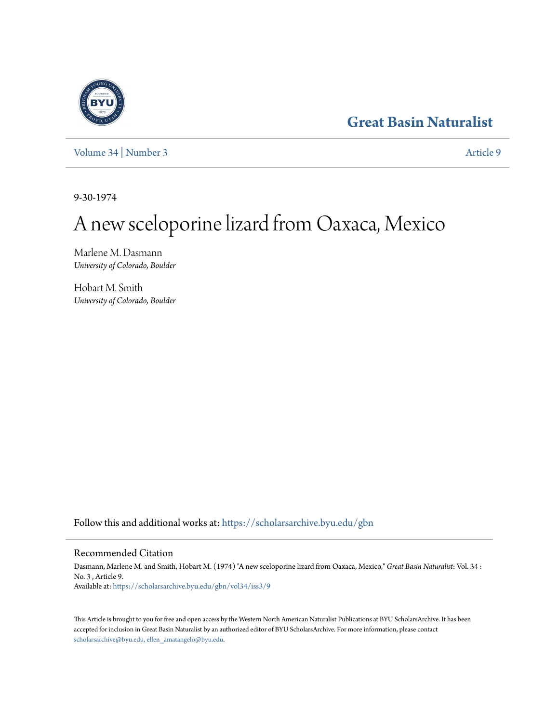# **[Great Basin Naturalist](https://scholarsarchive.byu.edu/gbn?utm_source=scholarsarchive.byu.edu%2Fgbn%2Fvol34%2Fiss3%2F9&utm_medium=PDF&utm_campaign=PDFCoverPages)**

[Volume 34](https://scholarsarchive.byu.edu/gbn/vol34?utm_source=scholarsarchive.byu.edu%2Fgbn%2Fvol34%2Fiss3%2F9&utm_medium=PDF&utm_campaign=PDFCoverPages) | [Number 3](https://scholarsarchive.byu.edu/gbn/vol34/iss3?utm_source=scholarsarchive.byu.edu%2Fgbn%2Fvol34%2Fiss3%2F9&utm_medium=PDF&utm_campaign=PDFCoverPages) [Article 9](https://scholarsarchive.byu.edu/gbn/vol34/iss3/9?utm_source=scholarsarchive.byu.edu%2Fgbn%2Fvol34%2Fiss3%2F9&utm_medium=PDF&utm_campaign=PDFCoverPages)

9-30-1974

# A new sceloporine lizard from Oaxaca, Mexico

Marlene M. Dasmann *University of Colorado, Boulder*

Hobart M. Smith *University of Colorado, Boulder*

Follow this and additional works at: [https://scholarsarchive.byu.edu/gbn](https://scholarsarchive.byu.edu/gbn?utm_source=scholarsarchive.byu.edu%2Fgbn%2Fvol34%2Fiss3%2F9&utm_medium=PDF&utm_campaign=PDFCoverPages)

## Recommended Citation

Dasmann, Marlene M. and Smith, Hobart M. (1974) "A new sceloporine lizard from Oaxaca, Mexico," *Great Basin Naturalist*: Vol. 34 : No. 3 , Article 9. Available at: [https://scholarsarchive.byu.edu/gbn/vol34/iss3/9](https://scholarsarchive.byu.edu/gbn/vol34/iss3/9?utm_source=scholarsarchive.byu.edu%2Fgbn%2Fvol34%2Fiss3%2F9&utm_medium=PDF&utm_campaign=PDFCoverPages)

This Article is brought to you for free and open access by the Western North American Naturalist Publications at BYU ScholarsArchive. It has been accepted for inclusion in Great Basin Naturalist by an authorized editor of BYU ScholarsArchive. For more information, please contact [scholarsarchive@byu.edu, ellen\\_amatangelo@byu.edu.](mailto:scholarsarchive@byu.edu,%20ellen_amatangelo@byu.edu)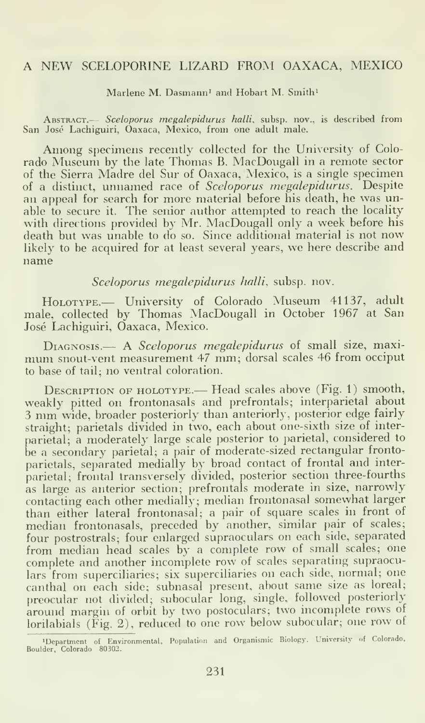### A NEW SCELOPORINE LIZARD FROM OAXACA, MEXICO

Marlene M. Dasmann<sup>1</sup> and Hobart M. Smith<sup>1</sup>

ABSTRACT.— Sceloporus megalepidurus halli, subsp. nov., is described from San Jose Lachiguiri, Oaxaca, Mexico, from one adult male.

Among specimens recently collected for the University of Colorado Museum by the late Thomas B. MacDougall in <sup>a</sup> remote sector of the Sierra Madre del Sur of Oaxaca, Mexico, is a single specimen of a distinct, unnamed race of Sceloporus megalepidurus. Despite an appeal for search for more material before his death, he was unable to secure it. The senior author attempted to reach the locality with directions provided by Mr. MacDougall only a week before his death but was unable to do so. Since additional material is not now likely to be acquired for at least several years, we here describe and name

Sceloporus megalepidurus halli, subsp. nov.

HoLOTYPE.— University of Colorado Museum 41137, adult male, collected by Thomas MacDougall in October 1967 at San Jose Lachiguiri, Oaxaca, Mexico.

DIAGNOSIS.— A Sceloporus megalepidurus of small size, maximum snout-vent measurement <sup>47</sup> mm; dorsal scales <sup>46</sup> from occiput to base of tail; no ventral coloration.

DESCRIPTION OF HOLOTYPE.— Head scales above (Fig. 1) smooth, weakly pitted on frontonasals and prefrontals; interparietal about <sup>3</sup> mm wide, broader posteriorly than anteriorly, posterior edge fairly straight; parietals divided in two, each about one-sixth size of inter parietal; a moderately large scale posterior to parietal, considered to be <sup>a</sup> secondary parietal; <sup>a</sup> pair of moderate-sized rectangular frontoparietals, separated medially by broad contact of frontal and inter parietal; frontal transversely divided, posterior section three-fourths as large as anterior section; prefrontals moderate in size, narrowly contacting each other medially; median frontonasal somewhat larger than either lateral frontonasal; a pair of square scales in front of median frontonasals, preceded by another, similar pair of scales; four postrostrals; four enlarged supraoculars on each side, separated from median head scales by <sup>a</sup> complete row of small scales; one complete and another incomplete row of scales separating supraoculars from superciliaries; six superciliaries on each side, normal; one canthal on each side; subnasal present, about same size as loreal; preocular not divided; subocular long, single, followed posteriorly around margin of orbit by two postoculars; two incomplete rows of lorilabials (Fig. 2), reduced to one row below subocular; one row of

<sup>&#</sup>x27;Department of Environmental, Population and Organismic Biology. University of Colorado, Boulder, Colorado 80302.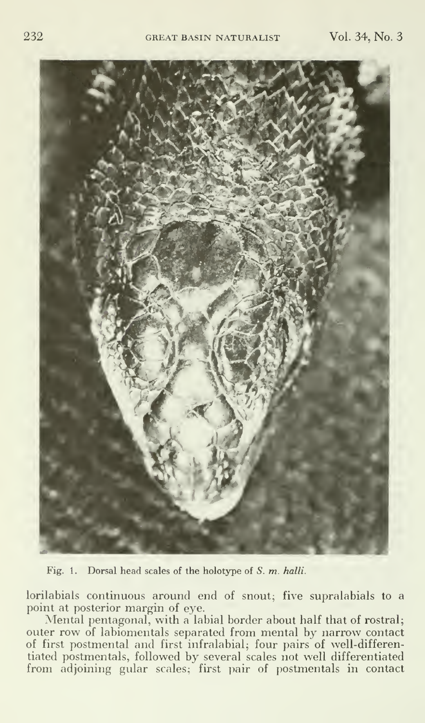

Fig. 1. Dorsal head scales of the holotype of S. m. halli.

lorilabials continuous around end of snout; five supralabials to a point at posterior margin of eye.

Mental pentagonal, with a labial border about half that of rostral; outer row of labiomentals separated from mental by narrow contact of first postmental and first infralabial; four pairs of well-differentiated postmentals, followed by several scales not well differentiated from adjoining gular scales; first pair of postmentals in contact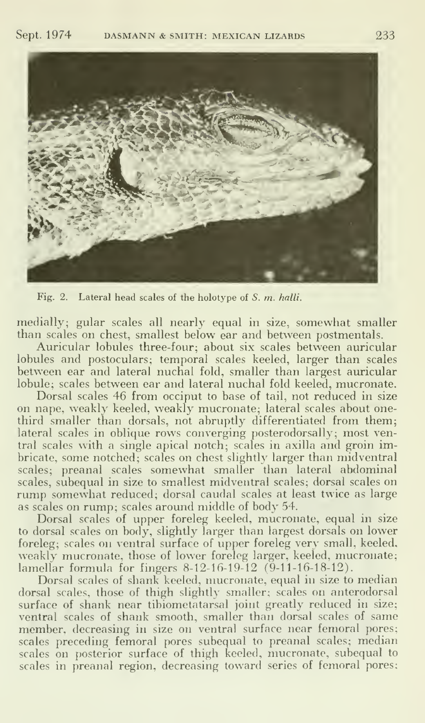

Fig. 2. Lateral head scales of the holotype of S. m. halli.

medially; gular scales all nearly equal in size, somewhat smaller than scales on chest, smallest below ear and between postmentals.

Auricular lobules three-four; about six scales between auricular lobules and postoculars; temporal scales keeled, larger than scales between ear and lateral nuchal fold, smaller than largest auricular lobule; scales between ear and lateral nuchal fold keeled, mucronate.

Dorsal scales 46 from occiput to base of tail, not reduced in size on nape, weakly keeled, weakly mucronate; lateral scales about onethird smaller than dorsals, not abruptly differentiated from them; lateral scales in oblique rows converging posterodorsally; most ventral scales with a single apical notch; scales in axilla and groin imbricate, some notched; scales on chest slightly larger than midventral scales; preanal scales somewhat smaller than lateral abdominal scales, subequal in size to smallest midventral scales; dorsal scales on rump somewhat reduced; dorsal caudal scales at least twice as large as scales on rump; scales around middle of body 54.

Dorsal scales of upper foreleg keeled, mucronate, equal in size to dorsal scales on body, slightly larger than largest dorsals on lower foreleg; scales on ventral surface of upper foreleg very small, keeled, weakly mucronate, those of lower foreleg larger, keeled, mucronate; lamellar formula for fingers 8-12-16-19-12 (9-11-16-18-12).

Dorsal scales of shank keeled, mucronate, equal in size to median dorsal scales, those of thigh slightly smaller; scales on anterodorsal surface of shank near tibiometatarsal joint greatly reduced in size; ventral scales of shank smooth, smaller than dorsal scales of same member, decreasing in size on ventral surface near femoral pores; scales preceding femoral pores subequal to preanal scales; median scales on posterior surface of thigh keeled, mucronate, subequal to scales in preanal region, decreasing toward series of femoral pores;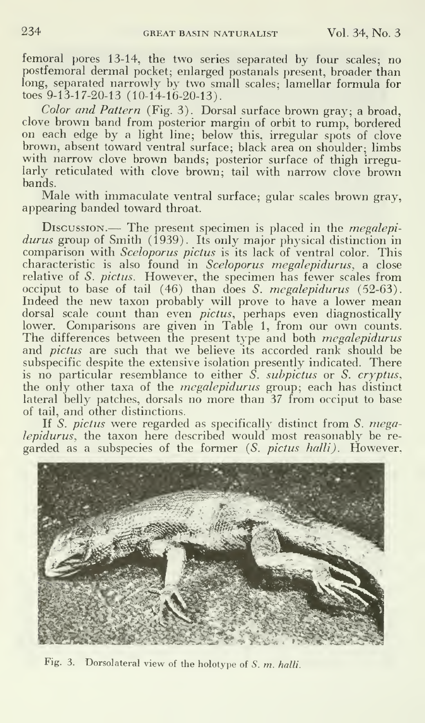femoral pores 13-14, the two series separated by four scales; no postfemoral dermal pocket; enlarged postanals present, broader than long, separated narrowly by two small scales; lamellar formula for toes 9-13-17-20-13 (10-14-16-20-13).

Color and Pattern (Fig. 3). Dorsal surface brown gray; a broad, clove brown band from posterior margin of orbit to rump, bordered on each edge by a light line; below this, irregular spots of clove brown, absent toward ventral surface; black area on shoulder; limbs with narrow clove brown bands; posterior surface of thigh irregularly reticulated with clove brown; tail with narrow clove brown bands.

Male with immaculate ventral surface; gular scales brown gray, appearing banded toward throat.

Discussion.— The present specimen is placed in the megalepidurus group of Smith (1939). Its only major physical distinction in comparison with Sceloporus pictus is its lack of ventral color. This characteristic is also found in *Sceloporus megalepidurus*, a close relative of S. *pictus*. However, the specimen has fewer scales from occiput to base of tail (46) than does *S. megalepidurus* (52-63). Indeed the new taxon probably will prove to have <sup>a</sup> lower mean dorsal scale count than even *pictus*, perhaps even diagnostically than lower. Comparisons are given in Table 1, from our own counts. The differences between the present type and both *megalepidurus* and *pictus* are such that we believe its accorded rank should be subspecific despite the extensive isolation presently indicated. There is no particular resemblance to either S. subpictus or S. cryptus, the only other taxa of the *megalepidurus* group; each has distinct lateral belly patches, dorsals no more than 37 from occiput to base of tail, and other distinctions.

If S. pictus were regarded as specifically distinct from S. megalepidurus, the taxon here described would most reasonably be re garded as a subspecies of the former (S. pictus halli). However,



Fig. 3. Dorsolateral view of the holotype of S. m. halli.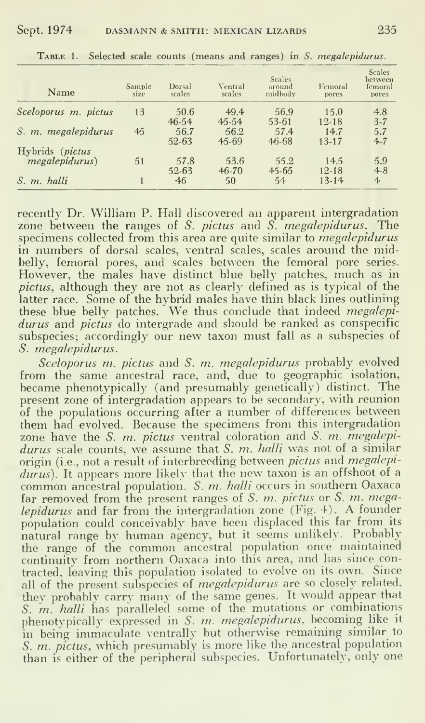| Name                 | Sample<br>size | Dorsal<br>scales  | Ventral<br>scales | <b>Scales</b><br>around<br>midbody | Femoral<br>pores  | <b>Scales</b><br>hetween<br>femoral<br>pores |
|----------------------|----------------|-------------------|-------------------|------------------------------------|-------------------|----------------------------------------------|
| Sceloporus m. pictus | 13             | 50.6<br>$46 - 54$ | 49.4<br>$45 - 54$ | 56.9<br>53-61                      | 15.0<br>$12 - 18$ | 4.8<br>$3 - 7$                               |
| S. m. megalepidurus  | 45             | 56.7<br>52-63     | 56.2<br>$45 - 69$ | 57.4<br>$46 - 68$                  | 14.7<br>$13 - 17$ | 5.7<br>$4 - 7$                               |
| Hybrids (pictus)     |                |                   |                   |                                    |                   |                                              |
| mekalepidurus)       | 51             | 57.8<br>$52 - 63$ | 53.6<br>$46 - 70$ | 55.2<br>$45 - 65$                  | 14.5<br>$12 - 18$ | 5.9<br>$4 - 8$                               |
| S. m. halli          |                | 46                | 50                | 54                                 | $13 - 14$         | 4                                            |

TABLE 1. Selected scale counts (means and ranges) in S. megalepidurus.

recently Dr. William P. Hall discovered an apparent intergradation zone between the ranges of  $S$ . *pictus* and  $S$ . *megalepidurus*. The specimens collected from this area are quite similar to *megalepidurus* in numbers of dorsal scales, ventral scales, scales around the midbelly, femoral pores, and scales between the femoral pore series. However, the males have distinct blue belly patches, much as in pictus, although they are not as clearly defined as is typical of the latter race. Some of the hybrid males have thin black lines outlining these blue belly patches. We thus conclude that indeed *megalepi-*<br>durus and *pictus* do intergrade and should be ranked as conspecific subspecies; accordingly our new taxon must fall as a subspecies of S. megalepidurus.

Sceloporus m. pictus and S. m. megalepidurus probably evolved from the same ancestral race, and, due to geographic isolation, became phenotypically (and presumably genetically) distinct. The present zone of intergradation appears to be secondary, with reunion of the populations occurring after a number of differences between them had evolved. Because the specimens from this intergradation zone have the S.  $m$ . pictus ventral coloration and S.  $m$ . megalepidurus scale counts, we assume that S.  $m$ . halli was not of a similar origin (i.e., not a result of interbreeding between *pictus* and *megalepi*durus). It appears more likely that the new taxon is an offshoot of a common ancestral population. S. m. halli occurs in southern Oaxaca far removed from the present ranges of S. m. pictus or S. m. megalepidurus and far from the intergradation zone (Fig. 4). A founder population could conceivably have been displaced this far from its natural range by human agency, but it seems unlikely. Probably the range of the common ancestral population once maintained continuity from northern Oaxaca into this area, and has since contracted, leaving this population isolated to evolve on its own. Since all of the present subspecies of *megalepidurus* are so closely related, they probably carry many of the same genes. It would appear that<br>S. m. halli has paralleled some of the mutations or combinations phenotypically expressed in S. m. megalepidurus, becoming like it in being immaculate ventrally but otherwise remaining similar to S. *m. pictus*, which presumably is more like the ancestral population than is either of the peripheral subspecies. Unfortunately, only one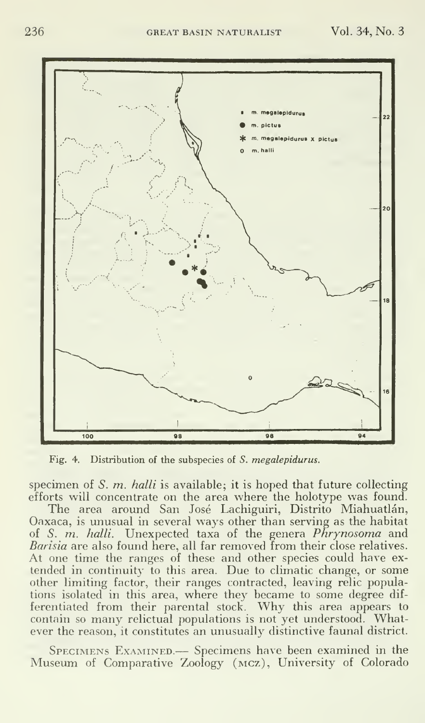

Fig. 4. Distribution of the subspecies of S. megalepidurus.

specimen of S.  $m$ . halli is available; it is hoped that future collecting efforts will concentrate on the area where the holotype was found.

The area around San José Lachiguiri, Distrito Miahuatlán, Oaxaca, is unusual in several ways other than serving as the habitat of S. m. halli. Unexpected taxa of the genera Phrynosoma and Barisia are also found here, all far removed from their close relatives. At one time the ranges of these and other species could have ex tended in continuity to this area. Due to climatic change, or some other limiting factor, their ranges contracted, leaving relic populations isolated in this area, where they became to some degree dif ferentiated from their parental stock. Why this area appears to contain so many relictual populations is not yet understood. Whatever the reason, it constitutes an unusually distinctive faunal district.

Specimens Examined.— Specimens have been examined in the Museum of Comparative Zoology (mcz). University of Colorado